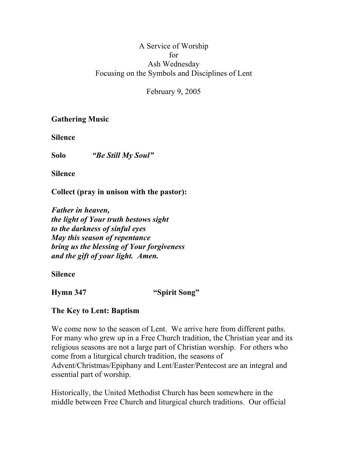# A Service of Worship for Ash Wednesday Focusing on the Symbols and Disciplines of Lent

# February 9, 2005

## **Gathering Music**

**Silence**

**Solo** *"Be Still My Soul"*

**Silence**

**Collect (pray in unison with the pastor):** 

*Father in heaven, the light of Your truth bestows sight to the darkness of sinful eyes May this season of repentance bring us the blessing of Your forgiveness and the gift of your light. Amen.*

**Silence**

**Hymn 347 "Spirit Song"**

# **The Key to Lent: Baptism**

We come now to the season of Lent. We arrive here from different paths. For many who grew up in a Free Church tradition, the Christian year and its religious seasons are not a large part of Christian worship. For others who come from a liturgical church tradition, the seasons of Advent/Christmas/Epiphany and Lent/Easter/Pentecost are an integral and essential part of worship.

Historically, the United Methodist Church has been somewhere in the middle between Free Church and liturgical church traditions. Our official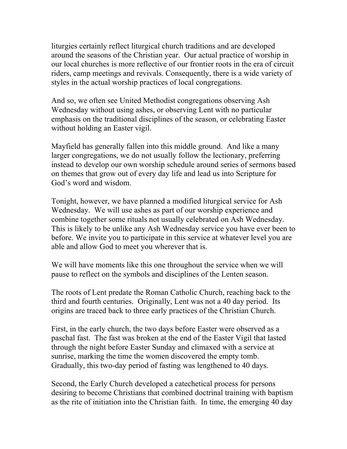liturgies certainly reflect liturgical church traditions and are developed around the seasons of the Christian year. Our actual practice of worship in our local churches is more reflective of our frontier roots in the era of circuit riders, camp meetings and revivals. Consequently, there is a wide variety of styles in the actual worship practices of local congregations.

And so, we often see United Methodist congregations observing Ash Wednesday without using ashes, or observing Lent with no particular emphasis on the traditional disciplines of the season, or celebrating Easter without holding an Easter vigil.

Mayfield has generally fallen into this middle ground. And like a many larger congregations, we do not usually follow the lectionary, preferring instead to develop our own worship schedule around series of sermons based on themes that grow out of every day life and lead us into Scripture for God's word and wisdom.

Tonight, however, we have planned a modified liturgical service for Ash Wednesday. We will use ashes as part of our worship experience and combine together some rituals not usually celebrated on Ash Wednesday. This is likely to be unlike any Ash Wednesday service you have ever been to before. We invite you to participate in this service at whatever level you are able and allow God to meet you wherever that is.

We will have moments like this one throughout the service when we will pause to reflect on the symbols and disciplines of the Lenten season.

The roots of Lent predate the Roman Catholic Church, reaching back to the third and fourth centuries. Originally, Lent was not a 40 day period. Its origins are traced back to three early practices of the Christian Church.

First, in the early church, the two days before Easter were observed as a paschal fast. The fast was broken at the end of the Easter Vigil that lasted through the night before Easter Sunday and climaxed with a service at sunrise, marking the time the women discovered the empty tomb. Gradually, this two-day period of fasting was lengthened to 40 days.

Second, the Early Church developed a catechetical process for persons desiring to become Christians that combined doctrinal training with baptism as the rite of initiation into the Christian faith. In time, the emerging 40 day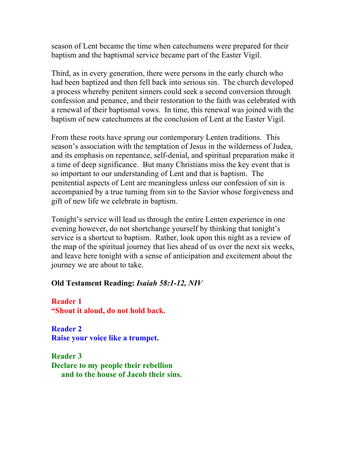season of Lent became the time when catechumens were prepared for their baptism and the baptismal service became part of the Easter Vigil.

Third, as in every generation, there were persons in the early church who had been baptized and then fell back into serious sin. The church developed a process whereby penitent sinners could seek a second conversion through confession and penance, and their restoration to the faith was celebrated with a renewal of their baptismal vows. In time, this renewal was joined with the baptism of new catechumens at the conclusion of Lent at the Easter Vigil.

From these roots have sprung our contemporary Lenten traditions. This season's association with the temptation of Jesus in the wilderness of Judea, and its emphasis on repentance, self-denial, and spiritual preparation make it a time of deep significance. But many Christians miss the key event that is so important to our understanding of Lent and that is baptism. The penitential aspects of Lent are meaningless unless our confession of sin is accompanied by a true turning from sin to the Savior whose forgiveness and gift of new life we celebrate in baptism.

Tonight's service will lead us through the entire Lenten experience in one evening however, do not shortchange yourself by thinking that tonight's service is a shortcut to baptism. Rather, look upon this night as a review of the map of the spiritual journey that lies ahead of us over the next six weeks, and leave here tonight with a sense of anticipation and excitement about the journey we are about to take.

#### **Old Testament Reading:** *Isaiah 58:1-12, NIV*

**Reader 1 "Shout it aloud, do not hold back.**

**Reader 2 Raise your voice like a trumpet.**

**Reader 3 Declare to my people their rebellion and to the house of Jacob their sins.**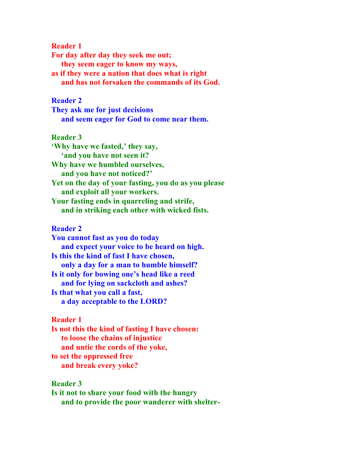**Reader 1 For day after day they seek me out; they seem eager to know my ways, as if they were a nation that does what is right and has not forsaken the commands of its God. Reader 2 They ask me for just decisions and seem eager for God to come near them. Reader 3 'Why have we fasted,' they say, 'and you have not seen it? Why have we humbled ourselves, and you have not noticed?' Yet on the day of your fasting, you do as you please and exploit all your workers. Your fasting ends in quarreling and strife, and in striking each other with wicked fists. Reader 2 You cannot fast as you do today and expect your voice to be heard on high. Is this the kind of fast I have chosen, only a day for a man to humble himself? Is it only for bowing one's head like a reed**

 **and for lying on sackcloth and ashes? Is that what you call a fast,**

 **a day acceptable to the LORD?**

#### **Reader 1**

**Is not this the kind of fasting I have chosen: to loose the chains of injustice and untie the cords of the yoke, to set the oppressed free and break every yoke?**

**Reader 3 Is it not to share your food with the hungry and to provide the poor wanderer with shelter-**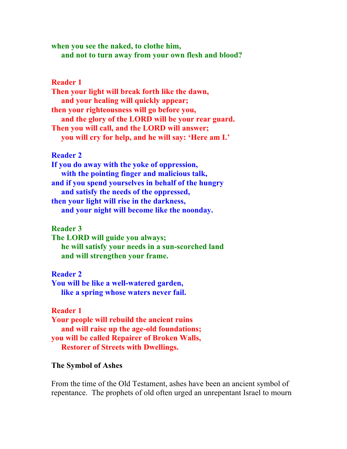**when you see the naked, to clothe him, and not to turn away from your own flesh and blood?**

**Reader 1**

**Then your light will break forth like the dawn, and your healing will quickly appear; then your righteousness will go before you, and the glory of the LORD will be your rear guard. Then you will call, and the LORD will answer; you will cry for help, and he will say: 'Here am I.'**

**Reader 2**

**If you do away with the yoke of oppression, with the pointing finger and malicious talk, and if you spend yourselves in behalf of the hungry and satisfy the needs of the oppressed, then your light will rise in the darkness, and your night will become like the noonday.**

**Reader 3**

**The LORD will guide you always; he will satisfy your needs in a sun-scorched land and will strengthen your frame.**

**Reader 2**

**You will be like a well-watered garden, like a spring whose waters never fail.**

**Reader 1 Your people will rebuild the ancient ruins and will raise up the age-old foundations; you will be called Repairer of Broken Walls, Restorer of Streets with Dwellings.**

#### **The Symbol of Ashes**

From the time of the Old Testament, ashes have been an ancient symbol of repentance. The prophets of old often urged an unrepentant Israel to mourn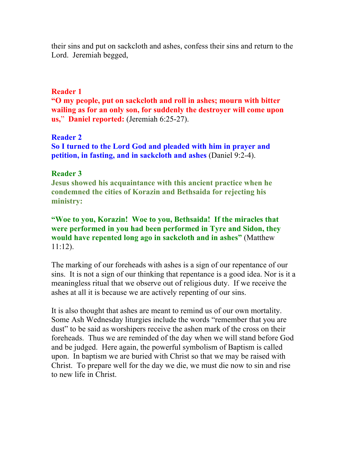their sins and put on sackcloth and ashes, confess their sins and return to the Lord. Jeremiah begged,

### **Reader 1**

**"O my people, put on sackcloth and roll in ashes; mourn with bitter wailing as for an only son, for suddenly the destroyer will come upon us,**" **Daniel reported:** (Jeremiah 6:25-27).

## **Reader 2**

**So I turned to the Lord God and pleaded with him in prayer and petition, in fasting, and in sackcloth and ashes** (Daniel 9:2-4).

### **Reader 3**

**Jesus showed his acquaintance with this ancient practice when he condemned the cities of Korazin and Bethsaida for rejecting his ministry:**

## **"Woe to you, Korazin! Woe to you, Bethsaida! If the miracles that were performed in you had been performed in Tyre and Sidon, they would have repented long ago in sackcloth and in ashes"** (Matthew 11:12).

The marking of our foreheads with ashes is a sign of our repentance of our sins. It is not a sign of our thinking that repentance is a good idea. Nor is it a meaningless ritual that we observe out of religious duty. If we receive the ashes at all it is because we are actively repenting of our sins.

It is also thought that ashes are meant to remind us of our own mortality. Some Ash Wednesday liturgies include the words "remember that you are dust" to be said as worshipers receive the ashen mark of the cross on their foreheads. Thus we are reminded of the day when we will stand before God and be judged. Here again, the powerful symbolism of Baptism is called upon. In baptism we are buried with Christ so that we may be raised with Christ. To prepare well for the day we die, we must die now to sin and rise to new life in Christ.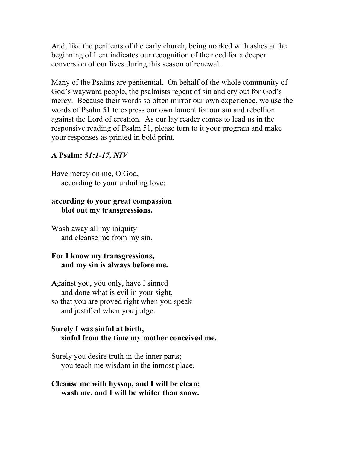And, like the penitents of the early church, being marked with ashes at the beginning of Lent indicates our recognition of the need for a deeper conversion of our lives during this season of renewal.

Many of the Psalms are penitential. On behalf of the whole community of God's wayward people, the psalmists repent of sin and cry out for God's mercy. Because their words so often mirror our own experience, we use the words of Psalm 51 to express our own lament for our sin and rebellion against the Lord of creation. As our lay reader comes to lead us in the responsive reading of Psalm 51, please turn to it your program and make your responses as printed in bold print.

### **A Psalm:** *51:1-17, NIV*

Have mercy on me, O God, according to your unfailing love;

### **according to your great compassion blot out my transgressions.**

Wash away all my iniquity and cleanse me from my sin.

### **For I know my transgressions, and my sin is always before me.**

Against you, you only, have I sinned and done what is evil in your sight, so that you are proved right when you speak and justified when you judge.

## **Surely I was sinful at birth, sinful from the time my mother conceived me.**

Surely you desire truth in the inner parts; you teach me wisdom in the inmost place.

### **Cleanse me with hyssop, and I will be clean; wash me, and I will be whiter than snow.**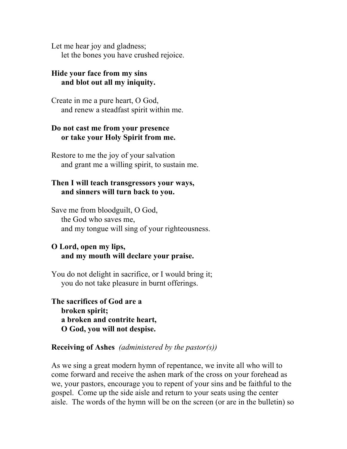Let me hear joy and gladness; let the bones you have crushed rejoice.

### **Hide your face from my sins and blot out all my iniquity.**

Create in me a pure heart, O God, and renew a steadfast spirit within me.

### **Do not cast me from your presence or take your Holy Spirit from me.**

Restore to me the joy of your salvation and grant me a willing spirit, to sustain me.

#### **Then I will teach transgressors your ways, and sinners will turn back to you.**

Save me from bloodguilt, O God, the God who saves me, and my tongue will sing of your righteousness.

### **O Lord, open my lips, and my mouth will declare your praise.**

You do not delight in sacrifice, or I would bring it; you do not take pleasure in burnt offerings.

**The sacrifices of God are a broken spirit; a broken and contrite heart, O God, you will not despise.**

### **Receiving of Ashes** *(administered by the pastor(s))*

As we sing a great modern hymn of repentance, we invite all who will to come forward and receive the ashen mark of the cross on your forehead as we, your pastors, encourage you to repent of your sins and be faithful to the gospel. Come up the side aisle and return to your seats using the center aisle. The words of the hymn will be on the screen (or are in the bulletin) so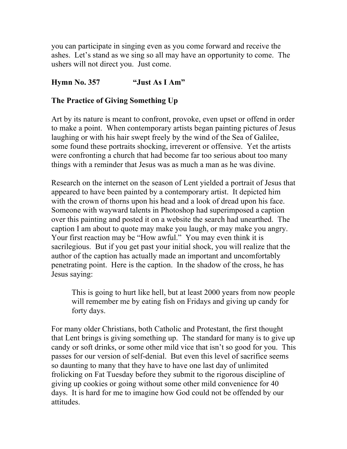you can participate in singing even as you come forward and receive the ashes. Let's stand as we sing so all may have an opportunity to come. The ushers will not direct you. Just come.

## **Hymn No. 357 "Just As I Am"**

### **The Practice of Giving Something Up**

Art by its nature is meant to confront, provoke, even upset or offend in order to make a point. When contemporary artists began painting pictures of Jesus laughing or with his hair swept freely by the wind of the Sea of Galilee, some found these portraits shocking, irreverent or offensive. Yet the artists were confronting a church that had become far too serious about too many things with a reminder that Jesus was as much a man as he was divine.

Research on the internet on the season of Lent yielded a portrait of Jesus that appeared to have been painted by a contemporary artist. It depicted him with the crown of thorns upon his head and a look of dread upon his face. Someone with wayward talents in Photoshop had superimposed a caption over this painting and posted it on a website the search had unearthed. The caption I am about to quote may make you laugh, or may make you angry. Your first reaction may be "How awful." You may even think it is sacrilegious. But if you get past your initial shock, you will realize that the author of the caption has actually made an important and uncomfortably penetrating point. Here is the caption. In the shadow of the cross, he has Jesus saying:

This is going to hurt like hell, but at least 2000 years from now people will remember me by eating fish on Fridays and giving up candy for forty days.

For many older Christians, both Catholic and Protestant, the first thought that Lent brings is giving something up. The standard for many is to give up candy or soft drinks, or some other mild vice that isn't so good for you. This passes for our version of self-denial. But even this level of sacrifice seems so daunting to many that they have to have one last day of unlimited frolicking on Fat Tuesday before they submit to the rigorous discipline of giving up cookies or going without some other mild convenience for 40 days. It is hard for me to imagine how God could not be offended by our attitudes.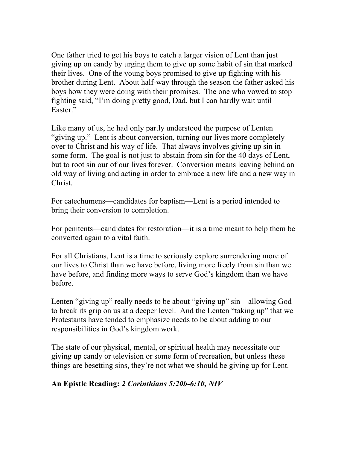One father tried to get his boys to catch a larger vision of Lent than just giving up on candy by urging them to give up some habit of sin that marked their lives. One of the young boys promised to give up fighting with his brother during Lent. About half-way through the season the father asked his boys how they were doing with their promises. The one who vowed to stop fighting said, "I'm doing pretty good, Dad, but I can hardly wait until Easter."

Like many of us, he had only partly understood the purpose of Lenten "giving up." Lent is about conversion, turning our lives more completely over to Christ and his way of life. That always involves giving up sin in some form. The goal is not just to abstain from sin for the 40 days of Lent, but to root sin our of our lives forever. Conversion means leaving behind an old way of living and acting in order to embrace a new life and a new way in Christ.

For catechumens—candidates for baptism—Lent is a period intended to bring their conversion to completion.

For penitents—candidates for restoration—it is a time meant to help them be converted again to a vital faith.

For all Christians, Lent is a time to seriously explore surrendering more of our lives to Christ than we have before, living more freely from sin than we have before, and finding more ways to serve God's kingdom than we have before.

Lenten "giving up" really needs to be about "giving up" sin—allowing God to break its grip on us at a deeper level. And the Lenten "taking up" that we Protestants have tended to emphasize needs to be about adding to our responsibilities in God's kingdom work.

The state of our physical, mental, or spiritual health may necessitate our giving up candy or television or some form of recreation, but unless these things are besetting sins, they're not what we should be giving up for Lent.

# **An Epistle Reading:** *2 Corinthians 5:20b-6:10, NIV*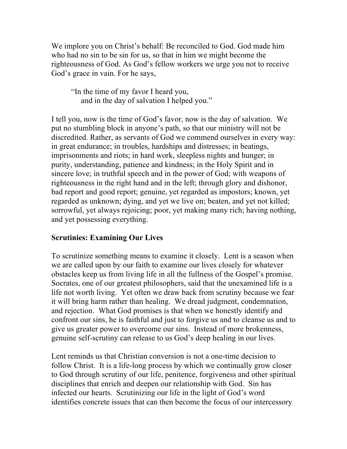We implore you on Christ's behalf: Be reconciled to God. God made him who had no sin to be sin for us, so that in him we might become the righteousness of God. As God's fellow workers we urge you not to receive God's grace in vain. For he says,

 "In the time of my favor I heard you, and in the day of salvation I helped you."

I tell you, now is the time of God's favor, now is the day of salvation. We put no stumbling block in anyone's path, so that our ministry will not be discredited. Rather, as servants of God we commend ourselves in every way: in great endurance; in troubles, hardships and distresses; in beatings, imprisonments and riots; in hard work, sleepless nights and hunger; in purity, understanding, patience and kindness; in the Holy Spirit and in sincere love; in truthful speech and in the power of God; with weapons of righteousness in the right hand and in the left; through glory and dishonor, bad report and good report; genuine, yet regarded as impostors; known, yet regarded as unknown; dying, and yet we live on; beaten, and yet not killed; sorrowful, yet always rejoicing; poor, yet making many rich; having nothing, and yet possessing everything.

### **Scrutinies: Examining Our Lives**

To scrutinize something means to examine it closely. Lent is a season when we are called upon by our faith to examine our lives closely for whatever obstacles keep us from living life in all the fullness of the Gospel's promise. Socrates, one of our greatest philosophers, said that the unexamined life is a life not worth living. Yet often we draw back from scrutiny because we fear it will bring harm rather than healing. We dread judgment, condemnation, and rejection. What God promises is that when we honestly identify and confront our sins, he is faithful and just to forgive us and to cleanse us and to give us greater power to overcome our sins. Instead of more brokenness, genuine self-scrutiny can release to us God's deep healing in our lives.

Lent reminds us that Christian conversion is not a one-time decision to follow Christ. It is a life-long process by which we continually grow closer to God through scrutiny of our life, penitence, forgiveness and other spiritual disciplines that enrich and deepen our relationship with God. Sin has infected our hearts. Scrutinizing our life in the light of God's word identifies concrete issues that can then become the focus of our intercessory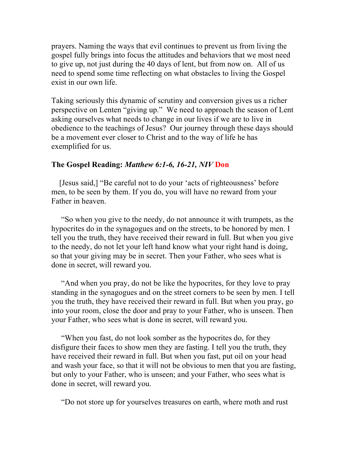prayers. Naming the ways that evil continues to prevent us from living the gospel fully brings into focus the attitudes and behaviors that we most need to give up, not just during the 40 days of lent, but from now on. All of us need to spend some time reflecting on what obstacles to living the Gospel exist in our own life.

Taking seriously this dynamic of scrutiny and conversion gives us a richer perspective on Lenten "giving up." We need to approach the season of Lent asking ourselves what needs to change in our lives if we are to live in obedience to the teachings of Jesus? Our journey through these days should be a movement ever closer to Christ and to the way of life he has exemplified for us.

#### **The Gospel Reading:** *Matthew 6:1-6, 16-21, NIV* **Don**

 [Jesus said,] "Be careful not to do your 'acts of righteousness' before men, to be seen by them. If you do, you will have no reward from your Father in heaven.

 "So when you give to the needy, do not announce it with trumpets, as the hypocrites do in the synagogues and on the streets, to be honored by men. I tell you the truth, they have received their reward in full. But when you give to the needy, do not let your left hand know what your right hand is doing, so that your giving may be in secret. Then your Father, who sees what is done in secret, will reward you.

 "And when you pray, do not be like the hypocrites, for they love to pray standing in the synagogues and on the street corners to be seen by men. I tell you the truth, they have received their reward in full. But when you pray, go into your room, close the door and pray to your Father, who is unseen. Then your Father, who sees what is done in secret, will reward you.

 "When you fast, do not look somber as the hypocrites do, for they disfigure their faces to show men they are fasting. I tell you the truth, they have received their reward in full. But when you fast, put oil on your head and wash your face, so that it will not be obvious to men that you are fasting, but only to your Father, who is unseen; and your Father, who sees what is done in secret, will reward you.

"Do not store up for yourselves treasures on earth, where moth and rust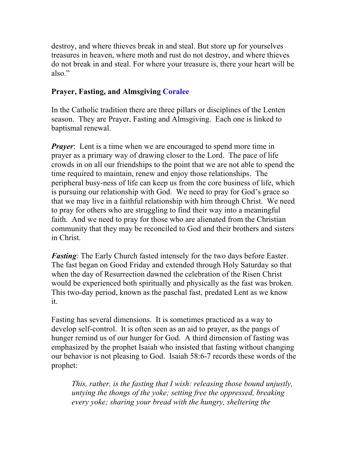destroy, and where thieves break in and steal. But store up for yourselves treasures in heaven, where moth and rust do not destroy, and where thieves do not break in and steal. For where your treasure is, there your heart will be also."

# **Prayer, Fasting, and Almsgiving Coralee**

In the Catholic tradition there are three pillars or disciplines of the Lenten season. They are Prayer, Fasting and Almsgiving. Each one is linked to baptismal renewal.

*Prayer*: Lent is a time when we are encouraged to spend more time in prayer as a primary way of drawing closer to the Lord. The pace of life crowds in on all our friendships to the point that we are not able to spend the time required to maintain, renew and enjoy those relationships. The peripheral busy-ness of life can keep us from the core business of life, which is pursuing our relationship with God. We need to pray for God's grace so that we may live in a faithful relationship with him through Christ. We need to pray for others who are struggling to find their way into a meaningful faith. And we need to pray for those who are alienated from the Christian community that they may be reconciled to God and their brothers and sisters in Christ.

*Fasting*: The Early Church fasted intensely for the two days before Easter. The fast began on Good Friday and extended through Holy Saturday so that when the day of Resurrection dawned the celebration of the Risen Christ would be experienced both spiritually and physically as the fast was broken. This two-day period, known as the paschal fast, predated Lent as we know it.

Fasting has several dimensions. It is sometimes practiced as a way to develop self-control. It is often seen as an aid to prayer, as the pangs of hunger remind us of our hunger for God. A third dimension of fasting was emphasized by the prophet Isaiah who insisted that fasting without changing our behavior is not pleasing to God. Isaiah 58:6-7 records these words of the prophet:

*This, rather, is the fasting that I wish: releasing those bound unjustly, untying the thongs of the yoke; setting free the oppressed, breaking every yoke; sharing your bread with the hungry, sheltering the*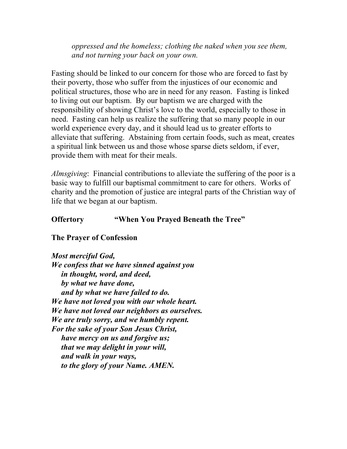*oppressed and the homeless; clothing the naked when you see them, and not turning your back on your own.*

Fasting should be linked to our concern for those who are forced to fast by their poverty, those who suffer from the injustices of our economic and political structures, those who are in need for any reason. Fasting is linked to living out our baptism. By our baptism we are charged with the responsibility of showing Christ's love to the world, especially to those in need. Fasting can help us realize the suffering that so many people in our world experience every day, and it should lead us to greater efforts to alleviate that suffering. Abstaining from certain foods, such as meat, creates a spiritual link between us and those whose sparse diets seldom, if ever, provide them with meat for their meals.

*Almsgiving*: Financial contributions to alleviate the suffering of the poor is a basic way to fulfill our baptismal commitment to care for others. Works of charity and the promotion of justice are integral parts of the Christian way of life that we began at our baptism.

#### **Offertory "When You Prayed Beneath the Tree"**

### **The Prayer of Confession**

*Most merciful God, We confess that we have sinned against you in thought, word, and deed, by what we have done, and by what we have failed to do. We have not loved you with our whole heart. We have not loved our neighbors as ourselves. We are truly sorry, and we humbly repent. For the sake of your Son Jesus Christ, have mercy on us and forgive us; that we may delight in your will, and walk in your ways, to the glory of your Name. AMEN.*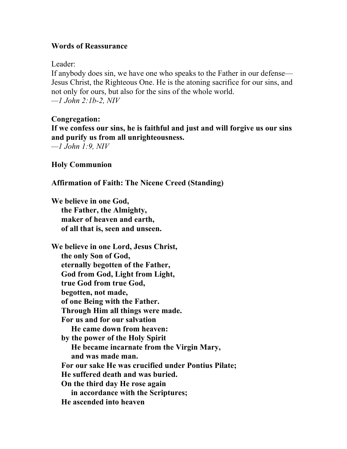### **Words of Reassurance**

Leader:

If anybody does sin, we have one who speaks to the Father in our defense— Jesus Christ, the Righteous One. He is the atoning sacrifice for our sins, and not only for ours, but also for the sins of the whole world. *—1 John 2:1b-2, NIV*

### **Congregation:**

**If we confess our sins, he is faithful and just and will forgive us our sins and purify us from all unrighteousness.**

*—1 John 1:9, NIV*

**Holy Communion** 

**Affirmation of Faith: The Nicene Creed (Standing)**

**We believe in one God, the Father, the Almighty, maker of heaven and earth, of all that is, seen and unseen.**

**We believe in one Lord, Jesus Christ, the only Son of God, eternally begotten of the Father, God from God, Light from Light, true God from true God, begotten, not made, of one Being with the Father. Through Him all things were made. For us and for our salvation He came down from heaven: by the power of the Holy Spirit He became incarnate from the Virgin Mary, and was made man. For our sake He was crucified under Pontius Pilate; He suffered death and was buried. On the third day He rose again in accordance with the Scriptures; He ascended into heaven**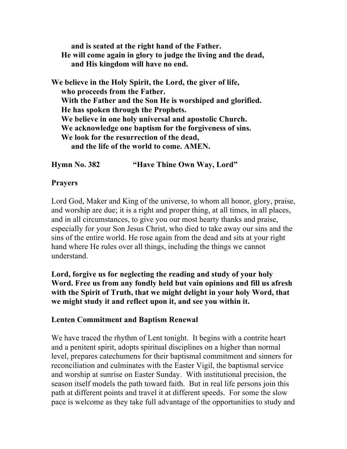**and is seated at the right hand of the Father. He will come again in glory to judge the living and the dead, and His kingdom will have no end.**

**We believe in the Holy Spirit, the Lord, the giver of life, who proceeds from the Father. With the Father and the Son He is worshiped and glorified. He has spoken through the Prophets. We believe in one holy universal and apostolic Church. We acknowledge one baptism for the forgiveness of sins. We look for the resurrection of the dead, and the life of the world to come. AMEN.**

**Hymn No. 382 "Have Thine Own Way, Lord"**

## **Prayers**

Lord God, Maker and King of the universe, to whom all honor, glory, praise, and worship are due; it is a right and proper thing, at all times, in all places, and in all circumstances, to give you our most hearty thanks and praise, especially for your Son Jesus Christ, who died to take away our sins and the sins of the entire world. He rose again from the dead and sits at your right hand where He rules over all things, including the things we cannot understand.

**Lord, forgive us for neglecting the reading and study of your holy Word. Free us from any fondly held but vain opinions and fill us afresh with the Spirit of Truth, that we might delight in your holy Word, that we might study it and reflect upon it, and see you within it.**

### **Lenten Commitment and Baptism Renewal**

We have traced the rhythm of Lent tonight. It begins with a contrite heart and a penitent spirit, adopts spiritual disciplines on a higher than normal level, prepares catechumens for their baptismal commitment and sinners for reconciliation and culminates with the Easter Vigil, the baptismal service and worship at sunrise on Easter Sunday. With institutional precision, the season itself models the path toward faith. But in real life persons join this path at different points and travel it at different speeds. For some the slow pace is welcome as they take full advantage of the opportunities to study and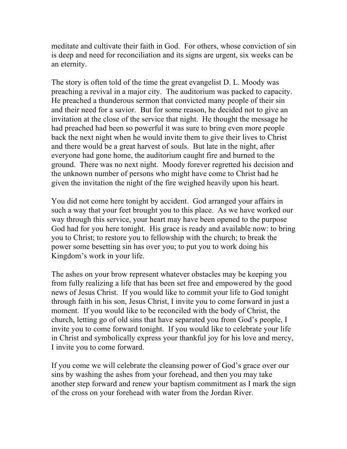meditate and cultivate their faith in God. For others, whose conviction of sin is deep and need for reconciliation and its signs are urgent, six weeks can be an eternity.

The story is often told of the time the great evangelist D. L. Moody was preaching a revival in a major city. The auditorium was packed to capacity. He preached a thunderous sermon that convicted many people of their sin and their need for a savior. But for some reason, he decided not to give an invitation at the close of the service that night. He thought the message he had preached had been so powerful it was sure to bring even more people back the next night when he would invite them to give their lives to Christ and there would be a great harvest of souls. But late in the night, after everyone had gone home, the auditorium caught fire and burned to the ground. There was no next night. Moody forever regretted his decision and the unknown number of persons who might have come to Christ had he given the invitation the night of the fire weighed heavily upon his heart.

You did not come here tonight by accident. God arranged your affairs in such a way that your feet brought you to this place. As we have worked our way through this service, your heart may have been opened to the purpose God had for you here tonight. His grace is ready and available now: to bring you to Christ; to restore you to fellowship with the church; to break the power some besetting sin has over you; to put you to work doing his Kingdom's work in your life.

The ashes on your brow represent whatever obstacles may be keeping you from fully realizing a life that has been set free and empowered by the good news of Jesus Christ. If you would like to commit your life to God tonight through faith in his son, Jesus Christ, I invite you to come forward in just a moment. If you would like to be reconciled with the body of Christ, the church, letting go of old sins that have separated you from God's people, I invite you to come forward tonight. If you would like to celebrate your life in Christ and symbolically express your thankful joy for his love and mercy, I invite you to come forward.

If you come we will celebrate the cleansing power of God's grace over our sins by washing the ashes from your forehead, and then you may take another step forward and renew your baptism commitment as I mark the sign of the cross on your forehead with water from the Jordan River.